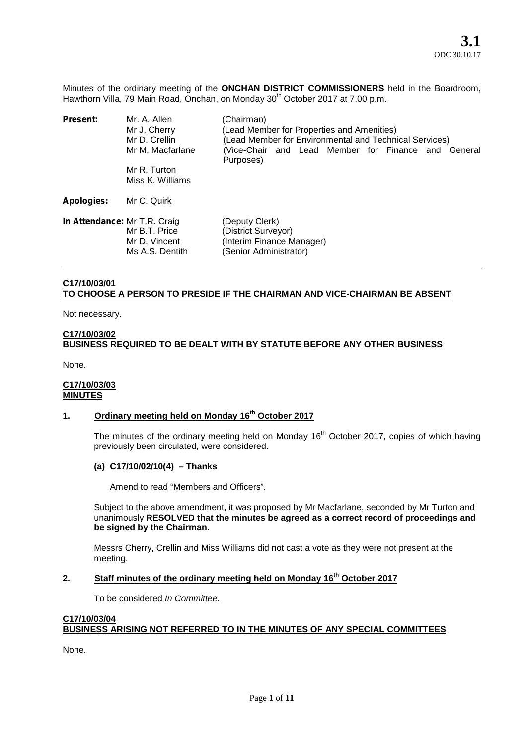Minutes of the ordinary meeting of the **ONCHAN DISTRICT COMMISSIONERS** held in the Boardroom, Hawthorn Villa, 79 Main Road, Onchan, on Monday 30<sup>th</sup> October 2017 at 7.00 p.m.

| <b>Present:</b>              | Mr. A. Allen<br>Mr J. Cherry<br>Mr D. Crellin<br>Mr M. Macfarlane<br>Mr R. Turton<br>Miss K. Williams | (Chairman)<br>(Lead Member for Properties and Amenities)<br>(Lead Member for Environmental and Technical Services)<br>(Vice-Chair and Lead Member for Finance and General<br>Purposes) |
|------------------------------|-------------------------------------------------------------------------------------------------------|----------------------------------------------------------------------------------------------------------------------------------------------------------------------------------------|
| <b>Apologies:</b>            | Mr C. Quirk                                                                                           |                                                                                                                                                                                        |
| In Attendance: Mr T.R. Craig | Mr B.T. Price<br>Mr D. Vincent<br>Ms A.S. Dentith                                                     | (Deputy Clerk)<br>(District Surveyor)<br>(Interim Finance Manager)<br>(Senior Administrator)                                                                                           |

## **C17/10/03/01 TO CHOOSE A PERSON TO PRESIDE IF THE CHAIRMAN AND VICE-CHAIRMAN BE ABSENT**

Not necessary.

## **C17/10/03/02 BUSINESS REQUIRED TO BE DEALT WITH BY STATUTE BEFORE ANY OTHER BUSINESS**

None.

### **C17/10/03/03 MINUTES**

## **1. Ordinary meeting held on Monday 16th October 2017**

The minutes of the ordinary meeting held on Monday  $16<sup>th</sup>$  October 2017, copies of which having previously been circulated, were considered.

## **(a) C17/10/02/10(4) – Thanks**

Amend to read "Members and Officers".

Subject to the above amendment, it was proposed by Mr Macfarlane, seconded by Mr Turton and unanimously **RESOLVED that the minutes be agreed as a correct record of proceedings and be signed by the Chairman.**

Messrs Cherry, Crellin and Miss Williams did not cast a vote as they were not present at the meeting.

# **2. Staff minutes of the ordinary meeting held on Monday 16th October 2017**

To be considered *In Committee.*

## **C17/10/03/04 BUSINESS ARISING NOT REFERRED TO IN THE MINUTES OF ANY SPECIAL COMMITTEES**

None.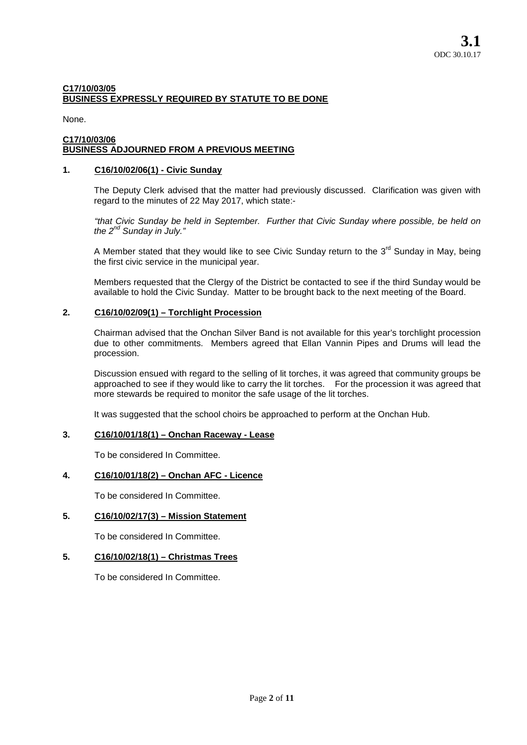## **C17/10/03/05 BUSINESS EXPRESSLY REQUIRED BY STATUTE TO BE DONE**

None.

#### **C17/10/03/06 BUSINESS ADJOURNED FROM A PREVIOUS MEETING**

## **1. C16/10/02/06(1) - Civic Sunday**

The Deputy Clerk advised that the matter had previously discussed. Clarification was given with regard to the minutes of 22 May 2017, which state:-

*"that Civic Sunday be held in September. Further that Civic Sunday where possible, be held on the 2nd Sunday in July."*

A Member stated that they would like to see Civic Sunday return to the  $3^{rd}$  Sunday in May, being the first civic service in the municipal year.

Members requested that the Clergy of the District be contacted to see if the third Sunday would be available to hold the Civic Sunday. Matter to be brought back to the next meeting of the Board.

## **2. C16/10/02/09(1) – Torchlight Procession**

Chairman advised that the Onchan Silver Band is not available for this year's torchlight procession due to other commitments. Members agreed that Ellan Vannin Pipes and Drums will lead the procession.

Discussion ensued with regard to the selling of lit torches, it was agreed that community groups be approached to see if they would like to carry the lit torches. For the procession it was agreed that more stewards be required to monitor the safe usage of the lit torches.

It was suggested that the school choirs be approached to perform at the Onchan Hub.

## **3. C16/10/01/18(1) – Onchan Raceway - Lease**

To be considered In Committee.

## **4. C16/10/01/18(2) – Onchan AFC - Licence**

To be considered In Committee.

## **5. C16/10/02/17(3) – Mission Statement**

To be considered In Committee.

## **5. C16/10/02/18(1) – Christmas Trees**

To be considered In Committee.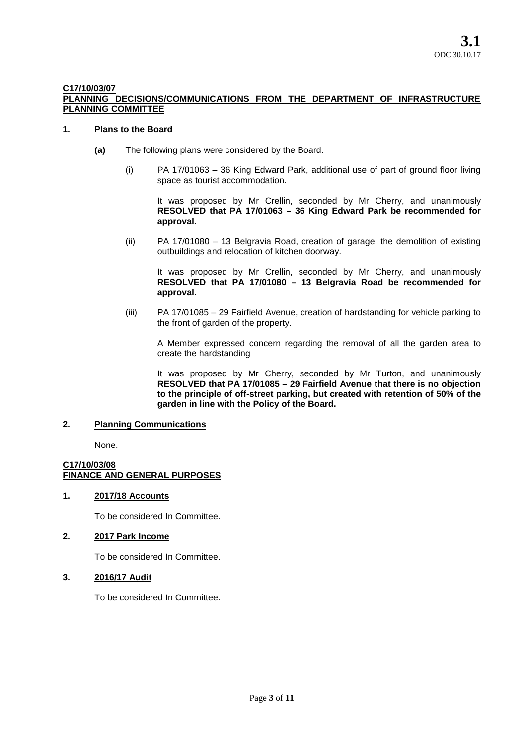## **C17/10/03/07**

## **PLANNING DECISIONS/COMMUNICATIONS FROM THE DEPARTMENT OF INFRASTRUCTURE PLANNING COMMITTEE**

### **1. Plans to the Board**

- **(a)** The following plans were considered by the Board.
	- (i) PA 17/01063 36 King Edward Park, additional use of part of ground floor living space as tourist accommodation.

It was proposed by Mr Crellin, seconded by Mr Cherry, and unanimously **RESOLVED that PA 17/01063 – 36 King Edward Park be recommended for approval.**

(ii) PA 17/01080 – 13 Belgravia Road, creation of garage, the demolition of existing outbuildings and relocation of kitchen doorway.

It was proposed by Mr Crellin, seconded by Mr Cherry, and unanimously **RESOLVED that PA 17/01080 – 13 Belgravia Road be recommended for approval.**

(iii) PA 17/01085 – 29 Fairfield Avenue, creation of hardstanding for vehicle parking to the front of garden of the property.

A Member expressed concern regarding the removal of all the garden area to create the hardstanding

It was proposed by Mr Cherry, seconded by Mr Turton, and unanimously **RESOLVED that PA 17/01085 – 29 Fairfield Avenue that there is no objection to the principle of off-street parking, but created with retention of 50% of the garden in line with the Policy of the Board.**

#### **2. Planning Communications**

None.

## **C17/10/03/08 FINANCE AND GENERAL PURPOSES**

#### **1. 2017/18 Accounts**

To be considered In Committee.

## **2. 2017 Park Income**

To be considered In Committee.

## **3. 2016/17 Audit**

To be considered In Committee.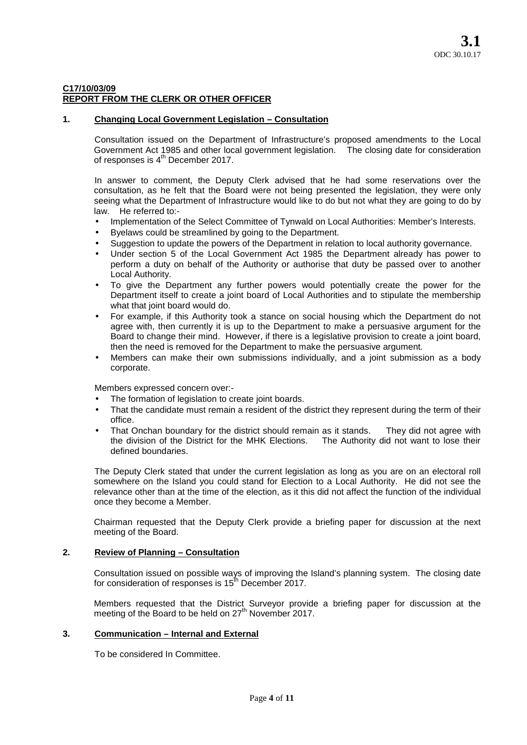## **C17/10/03/09 REPORT FROM THE CLERK OR OTHER OFFICER**

## **1. Changing Local Government Legislation – Consultation**

Consultation issued on the Department of Infrastructure's proposed amendments to the Local Government Act 1985 and other local government legislation. The closing date for consideration of responses is  $4<sup>th</sup>$  December 2017.

In answer to comment, the Deputy Clerk advised that he had some reservations over the consultation, as he felt that the Board were not being presented the legislation, they were only seeing what the Department of Infrastructure would like to do but not what they are going to do by law. He referred to:-

- Implementation of the Select Committee of Tynwald on Local Authorities: Member's Interests.
- Byelaws could be streamlined by going to the Department.
- Suggestion to update the powers of the Department in relation to local authority governance.
- Under section 5 of the Local Government Act 1985 the Department already has power to perform a duty on behalf of the Authority or authorise that duty be passed over to another Local Authority.
- To give the Department any further powers would potentially create the power for the Department itself to create a joint board of Local Authorities and to stipulate the membership what that joint board would do.
- For example, if this Authority took a stance on social housing which the Department do not agree with, then currently it is up to the Department to make a persuasive argument for the Board to change their mind. However, if there is a legislative provision to create a joint board, then the need is removed for the Department to make the persuasive argument.
- Members can make their own submissions individually, and a joint submission as a body corporate.

Members expressed concern over:-

- The formation of legislation to create joint boards.
- That the candidate must remain a resident of the district they represent during the term of their office.
- That Onchan boundary for the district should remain as it stands. They did not agree with the division of the District for the MHK Elections. The Authority did not want to lose their defined boundaries.

The Deputy Clerk stated that under the current legislation as long as you are on an electoral roll somewhere on the Island you could stand for Election to a Local Authority. He did not see the relevance other than at the time of the election, as it this did not affect the function of the individual once they become a Member.

Chairman requested that the Deputy Clerk provide a briefing paper for discussion at the next meeting of the Board.

## **2. Review of Planning – Consultation**

Consultation issued on possible ways of improving the Island's planning system. The closing date for consideration of responses is  $15<sup>th</sup>$  December 2017.

Members requested that the District Surveyor provide a briefing paper for discussion at the meeting of the Board to be held on 27<sup>th</sup> November 2017.

## **3. Communication – Internal and External**

To be considered In Committee.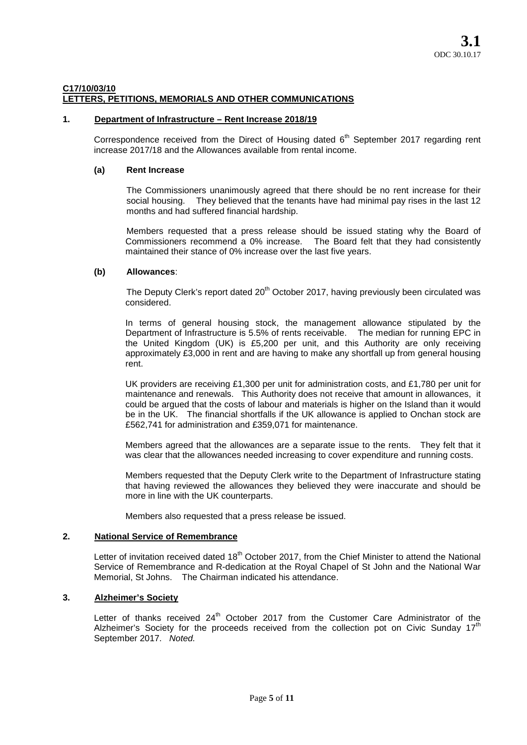### **C17/10/03/10 LETTERS, PETITIONS, MEMORIALS AND OTHER COMMUNICATIONS**

## **1. Department of Infrastructure – Rent Increase 2018/19**

Correspondence received from the Direct of Housing dated  $6<sup>th</sup>$  September 2017 regarding rent increase 2017/18 and the Allowances available from rental income.

### **(a) Rent Increase**

The Commissioners unanimously agreed that there should be no rent increase for their social housing. They believed that the tenants have had minimal pay rises in the last 12 months and had suffered financial hardship.

Members requested that a press release should be issued stating why the Board of Commissioners recommend a 0% increase. The Board felt that they had consistently maintained their stance of 0% increase over the last five years.

#### **(b) Allowances**:

The Deputy Clerk's report dated  $20<sup>th</sup>$  October 2017, having previously been circulated was considered.

In terms of general housing stock, the management allowance stipulated by the Department of Infrastructure is 5.5% of rents receivable. The median for running EPC in the United Kingdom (UK) is £5,200 per unit, and this Authority are only receiving approximately £3,000 in rent and are having to make any shortfall up from general housing rent.

UK providers are receiving £1,300 per unit for administration costs, and £1,780 per unit for maintenance and renewals. This Authority does not receive that amount in allowances, it could be argued that the costs of labour and materials is higher on the Island than it would be in the UK. The financial shortfalls if the UK allowance is applied to Onchan stock are £562,741 for administration and £359,071 for maintenance.

Members agreed that the allowances are a separate issue to the rents. They felt that it was clear that the allowances needed increasing to cover expenditure and running costs.

Members requested that the Deputy Clerk write to the Department of Infrastructure stating that having reviewed the allowances they believed they were inaccurate and should be more in line with the UK counterparts.

Members also requested that a press release be issued.

#### **2. National Service of Remembrance**

Letter of invitation received dated 18<sup>th</sup> October 2017, from the Chief Minister to attend the National Service of Remembrance and R-dedication at the Royal Chapel of St John and the National War Memorial, St Johns. The Chairman indicated his attendance.

#### **3. Alzheimer's Society**

Letter of thanks received  $24<sup>th</sup>$  October 2017 from the Customer Care Administrator of the Alzheimer's Society for the proceeds received from the collection pot on Civic Sunday  $17<sup>th</sup>$ September 2017. *Noted.*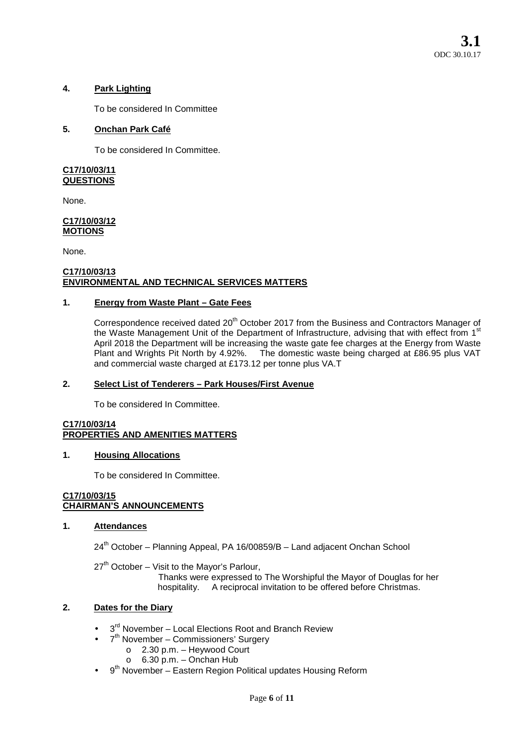## **4. Park Lighting**

To be considered In Committee

## **5. Onchan Park Café**

To be considered In Committee.

### **C17/10/03/11 QUESTIONS**

None.

#### **C17/10/03/12 MOTIONS**

None.

### **C17/10/03/13 ENVIRONMENTAL AND TECHNICAL SERVICES MATTERS**

## **1. Energy from Waste Plant – Gate Fees**

Correspondence received dated 20<sup>th</sup> October 2017 from the Business and Contractors Manager of the Waste Management Unit of the Department of Infrastructure, advising that with effect from 1st April 2018 the Department will be increasing the waste gate fee charges at the Energy from Waste Plant and Wrights Pit North by 4.92%. The domestic waste being charged at £86.95 plus VAT and commercial waste charged at £173.12 per tonne plus VA.T

## **2. Select List of Tenderers – Park Houses/First Avenue**

To be considered In Committee.

#### **C17/10/03/14 PROPERTIES AND AMENITIES MATTERS**

## **1. Housing Allocations**

To be considered In Committee.

#### **C17/10/03/15 CHAIRMAN'S ANNOUNCEMENTS**

## **1. Attendances**

24<sup>th</sup> October – Planning Appeal, PA 16/00859/B – Land adjacent Onchan School

 $27<sup>th</sup>$  October – Visit to the Mayor's Parlour,

Thanks were expressed to The Worshipful the Mayor of Douglas for her hospitality. A reciprocal invitation to be offered before Christmas.

## **2. Dates for the Diary**

- 3<sup>rd</sup> November Local Elections Root and Branch Review
- 7<sup>th</sup> November Commissioners' Surgery
	- o 2.30 p.m. Heywood Court
	- o 6.30 p.m. Onchan Hub
- 9<sup>th</sup> November Eastern Region Political updates Housing Reform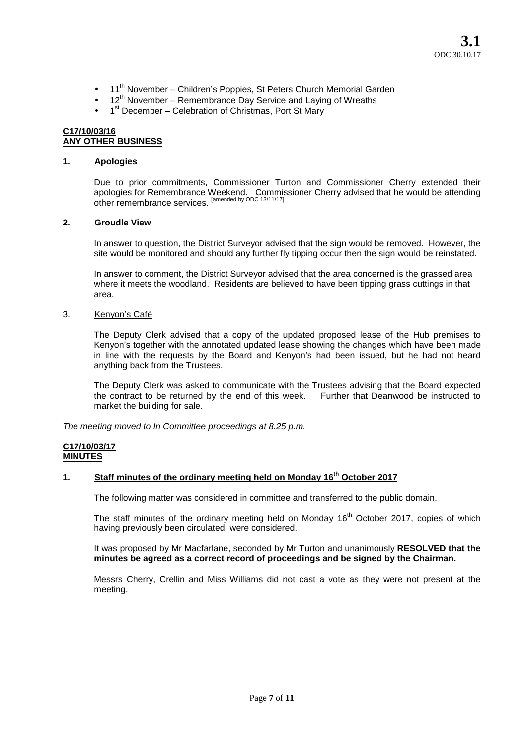- 11<sup>th</sup> November Children's Poppies, St Peters Church Memorial Garden
- $\bullet$  12<sup>th</sup> November Remembrance Day Service and Laying of Wreaths
- 1<sup>st</sup> December Celebration of Christmas, Port St Mary

### **C17/10/03/16 ANY OTHER BUSINESS**

## **1. Apologies**

Due to prior commitments, Commissioner Turton and Commissioner Cherry extended their apologies for Remembrance Weekend. Commissioner Cherry advised that he would be attending other remembrance services. [amended by ODC 13/11/17]

## **2. Groudle View**

In answer to question, the District Surveyor advised that the sign would be removed. However, the site would be monitored and should any further fly tipping occur then the sign would be reinstated.

In answer to comment, the District Surveyor advised that the area concerned is the grassed area where it meets the woodland. Residents are believed to have been tipping grass cuttings in that area.

## 3. Kenyon's Café

The Deputy Clerk advised that a copy of the updated proposed lease of the Hub premises to Kenyon's together with the annotated updated lease showing the changes which have been made in line with the requests by the Board and Kenyon's had been issued, but he had not heard anything back from the Trustees.

The Deputy Clerk was asked to communicate with the Trustees advising that the Board expected the contract to be returned by the end of this week. Further that Deanwood be instructed to market the building for sale.

*The meeting moved to In Committee proceedings at 8.25 p.m.*

#### **C17/10/03/17 MINUTES**

## **1. Staff minutes of the ordinary meeting held on Monday 16th October 2017**

The following matter was considered in committee and transferred to the public domain.

The staff minutes of the ordinary meeting held on Monday 16<sup>th</sup> October 2017, copies of which having previously been circulated, were considered.

It was proposed by Mr Macfarlane, seconded by Mr Turton and unanimously **RESOLVED that the minutes be agreed as a correct record of proceedings and be signed by the Chairman.**

Messrs Cherry, Crellin and Miss Williams did not cast a vote as they were not present at the meeting.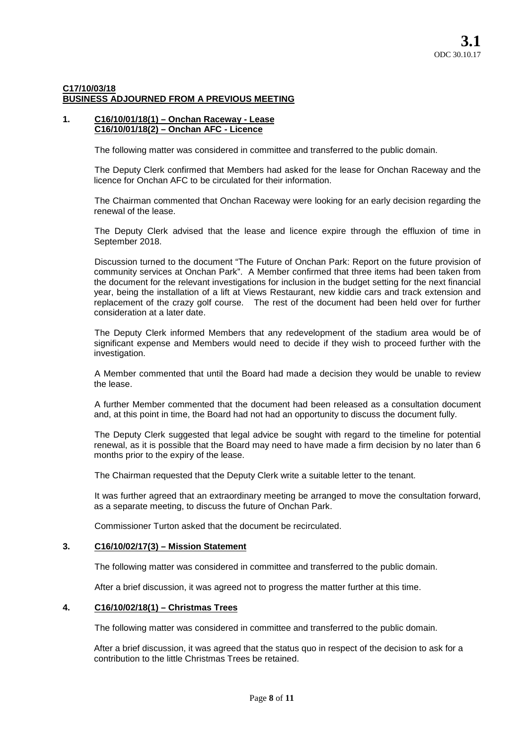## **C17/10/03/18 BUSINESS ADJOURNED FROM A PREVIOUS MEETING**

### **1. C16/10/01/18(1) – Onchan Raceway - Lease C16/10/01/18(2) – Onchan AFC - Licence**

The following matter was considered in committee and transferred to the public domain.

The Deputy Clerk confirmed that Members had asked for the lease for Onchan Raceway and the licence for Onchan AFC to be circulated for their information.

The Chairman commented that Onchan Raceway were looking for an early decision regarding the renewal of the lease.

The Deputy Clerk advised that the lease and licence expire through the effluxion of time in September 2018.

Discussion turned to the document "The Future of Onchan Park: Report on the future provision of community services at Onchan Park". A Member confirmed that three items had been taken from the document for the relevant investigations for inclusion in the budget setting for the next financial year, being the installation of a lift at Views Restaurant, new kiddie cars and track extension and replacement of the crazy golf course. The rest of the document had been held over for further consideration at a later date.

The Deputy Clerk informed Members that any redevelopment of the stadium area would be of significant expense and Members would need to decide if they wish to proceed further with the investigation.

A Member commented that until the Board had made a decision they would be unable to review the lease.

A further Member commented that the document had been released as a consultation document and, at this point in time, the Board had not had an opportunity to discuss the document fully.

The Deputy Clerk suggested that legal advice be sought with regard to the timeline for potential renewal, as it is possible that the Board may need to have made a firm decision by no later than 6 months prior to the expiry of the lease.

The Chairman requested that the Deputy Clerk write a suitable letter to the tenant.

It was further agreed that an extraordinary meeting be arranged to move the consultation forward, as a separate meeting, to discuss the future of Onchan Park.

Commissioner Turton asked that the document be recirculated.

## **3. C16/10/02/17(3) – Mission Statement**

The following matter was considered in committee and transferred to the public domain.

After a brief discussion, it was agreed not to progress the matter further at this time.

## **4. C16/10/02/18(1) – Christmas Trees**

The following matter was considered in committee and transferred to the public domain.

After a brief discussion, it was agreed that the status quo in respect of the decision to ask for a contribution to the little Christmas Trees be retained.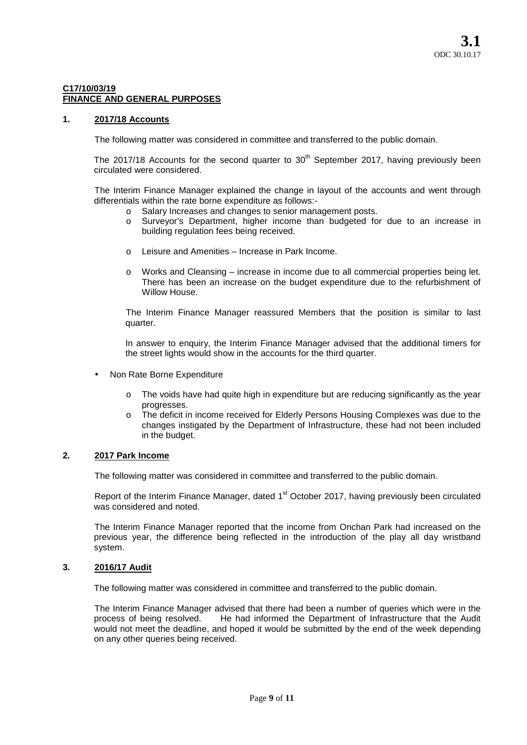### **C17/10/03/19 FINANCE AND GENERAL PURPOSES**

### **1. 2017/18 Accounts**

The following matter was considered in committee and transferred to the public domain.

The 2017/18 Accounts for the second quarter to  $30<sup>th</sup>$  September 2017, having previously been circulated were considered.

The Interim Finance Manager explained the change in layout of the accounts and went through differentials within the rate borne expenditure as follows:-

- o Salary Increases and changes to senior management posts.
- o Surveyor's Department, higher income than budgeted for due to an increase in building regulation fees being received.
- o Leisure and Amenities Increase in Park Income.
- o Works and Cleansing increase in income due to all commercial properties being let. There has been an increase on the budget expenditure due to the refurbishment of Willow House.

The Interim Finance Manager reassured Members that the position is similar to last quarter.

In answer to enquiry, the Interim Finance Manager advised that the additional timers for the street lights would show in the accounts for the third quarter.

- Non Rate Borne Expenditure
	- o The voids have had quite high in expenditure but are reducing significantly as the year progresses.
	- o The deficit in income received for Elderly Persons Housing Complexes was due to the changes instigated by the Department of Infrastructure, these had not been included in the budget.

## **2. 2017 Park Income**

The following matter was considered in committee and transferred to the public domain.

Report of the Interim Finance Manager, dated 1<sup>st</sup> October 2017, having previously been circulated was considered and noted.

The Interim Finance Manager reported that the income from Onchan Park had increased on the previous year, the difference being reflected in the introduction of the play all day wristband system.

## **3. 2016/17 Audit**

The following matter was considered in committee and transferred to the public domain.

The Interim Finance Manager advised that there had been a number of queries which were in the process of being resolved. He had informed the Department of Infrastructure that the Audit would not meet the deadline, and hoped it would be submitted by the end of the week depending on any other queries being received.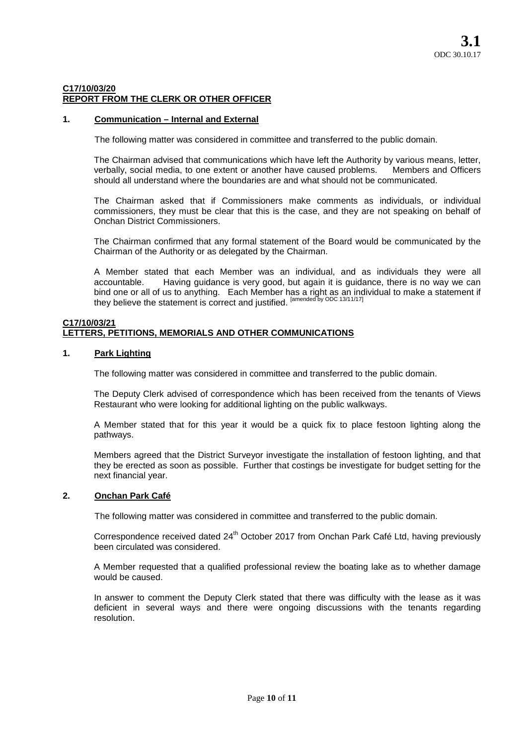## **C17/10/03/20 REPORT FROM THE CLERK OR OTHER OFFICER**

## **1. Communication – Internal and External**

The following matter was considered in committee and transferred to the public domain.

The Chairman advised that communications which have left the Authority by various means, letter, verbally, social media, to one extent or another have caused problems. Members and Officers verbally, social media, to one extent or another have caused problems. should all understand where the boundaries are and what should not be communicated.

The Chairman asked that if Commissioners make comments as individuals, or individual commissioners, they must be clear that this is the case, and they are not speaking on behalf of Onchan District Commissioners.

The Chairman confirmed that any formal statement of the Board would be communicated by the Chairman of the Authority or as delegated by the Chairman.

A Member stated that each Member was an individual, and as individuals they were all accountable. Having guidance is very good, but again it is guidance, there is no way we can bind one or all of us to anything. Each Member has a right as an individual to make a statement if they believe the statement is correct and justified. <sup>[amended by ODC 13/11/17]</sup>

### **C17/10/03/21 LETTERS, PETITIONS, MEMORIALS AND OTHER COMMUNICATIONS**

#### **1. Park Lighting**

The following matter was considered in committee and transferred to the public domain.

The Deputy Clerk advised of correspondence which has been received from the tenants of Views Restaurant who were looking for additional lighting on the public walkways.

A Member stated that for this year it would be a quick fix to place festoon lighting along the pathways.

Members agreed that the District Surveyor investigate the installation of festoon lighting, and that they be erected as soon as possible. Further that costings be investigate for budget setting for the next financial year.

## **2. Onchan Park Café**

The following matter was considered in committee and transferred to the public domain.

Correspondence received dated 24<sup>th</sup> October 2017 from Onchan Park Café Ltd, having previously been circulated was considered.

A Member requested that a qualified professional review the boating lake as to whether damage would be caused.

In answer to comment the Deputy Clerk stated that there was difficulty with the lease as it was deficient in several ways and there were ongoing discussions with the tenants regarding resolution.